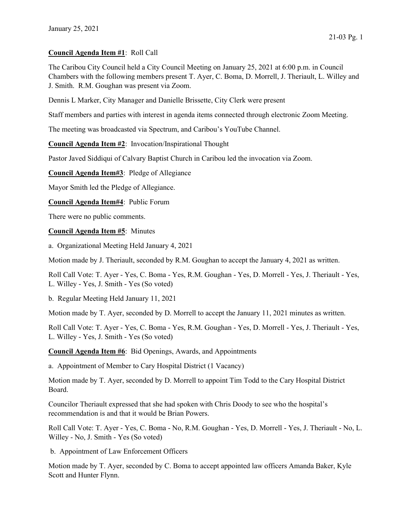## Council Agenda Item #1: Roll Call

The Caribou City Council held a City Council Meeting on January 25, 2021 at 6:00 p.m. in Council Chambers with the following members present T. Ayer, C. Boma, D. Morrell, J. Theriault, L. Willey and J. Smith. R.M. Goughan was present via Zoom.

Dennis L Marker, City Manager and Danielle Brissette, City Clerk were present

Staff members and parties with interest in agenda items connected through electronic Zoom Meeting.

The meeting was broadcasted via Spectrum, and Caribou's YouTube Channel.

Council Agenda Item #2: Invocation/Inspirational Thought

Pastor Javed Siddiqui of Calvary Baptist Church in Caribou led the invocation via Zoom.

Council Agenda Item#3: Pledge of Allegiance

Mayor Smith led the Pledge of Allegiance.

Council Agenda Item#4: Public Forum

There were no public comments.

Council Agenda Item #5: Minutes

a. Organizational Meeting Held January 4, 2021

Motion made by J. Theriault, seconded by R.M. Goughan to accept the January 4, 2021 as written.

Roll Call Vote: T. Ayer - Yes, C. Boma - Yes, R.M. Goughan - Yes, D. Morrell - Yes, J. Theriault - Yes, L. Willey - Yes, J. Smith - Yes (So voted)

b. Regular Meeting Held January 11, 2021

Motion made by T. Ayer, seconded by D. Morrell to accept the January 11, 2021 minutes as written.

Roll Call Vote: T. Ayer - Yes, C. Boma - Yes, R.M. Goughan - Yes, D. Morrell - Yes, J. Theriault - Yes, L. Willey - Yes, J. Smith - Yes (So voted)

Council Agenda Item #6: Bid Openings, Awards, and Appointments

a. Appointment of Member to Cary Hospital District (1 Vacancy)

Motion made by T. Ayer, seconded by D. Morrell to appoint Tim Todd to the Cary Hospital District Board.

Councilor Theriault expressed that she had spoken with Chris Doody to see who the hospital's recommendation is and that it would be Brian Powers.

Roll Call Vote: T. Ayer - Yes, C. Boma - No, R.M. Goughan - Yes, D. Morrell - Yes, J. Theriault - No, L. Willey - No, J. Smith - Yes (So voted)

b. Appointment of Law Enforcement Officers

Motion made by T. Ayer, seconded by C. Boma to accept appointed law officers Amanda Baker, Kyle Scott and Hunter Flynn.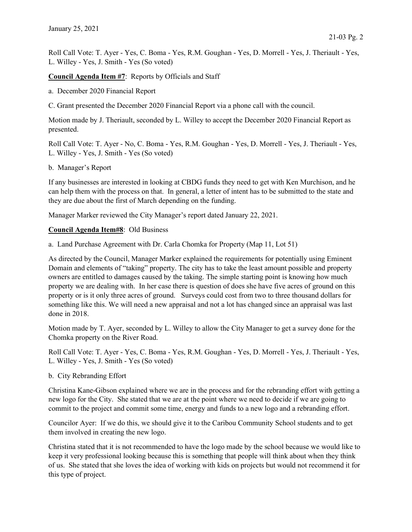Roll Call Vote: T. Ayer - Yes, C. Boma - Yes, R.M. Goughan - Yes, D. Morrell - Yes, J. Theriault - Yes, L. Willey - Yes, J. Smith - Yes (So voted)

Council Agenda Item #7: Reports by Officials and Staff

- a. December 2020 Financial Report
- C. Grant presented the December 2020 Financial Report via a phone call with the council.

Motion made by J. Theriault, seconded by L. Willey to accept the December 2020 Financial Report as presented.

Roll Call Vote: T. Ayer - No, C. Boma - Yes, R.M. Goughan - Yes, D. Morrell - Yes, J. Theriault - Yes, L. Willey - Yes, J. Smith - Yes (So voted)

## b. Manager's Report

If any businesses are interested in looking at CBDG funds they need to get with Ken Murchison, and he can help them with the process on that. In general, a letter of intent has to be submitted to the state and they are due about the first of March depending on the funding.

Manager Marker reviewed the City Manager's report dated January 22, 2021.

## Council Agenda Item#8: Old Business

a. Land Purchase Agreement with Dr. Carla Chomka for Property (Map 11, Lot 51)

As directed by the Council, Manager Marker explained the requirements for potentially using Eminent Domain and elements of "taking" property. The city has to take the least amount possible and property owners are entitled to damages caused by the taking. The simple starting point is knowing how much property we are dealing with. In her case there is question of does she have five acres of ground on this property or is it only three acres of ground. Surveys could cost from two to three thousand dollars for something like this. We will need a new appraisal and not a lot has changed since an appraisal was last done in 2018.

Motion made by T. Ayer, seconded by L. Willey to allow the City Manager to get a survey done for the Chomka property on the River Road.

Roll Call Vote: T. Ayer - Yes, C. Boma - Yes, R.M. Goughan - Yes, D. Morrell - Yes, J. Theriault - Yes, L. Willey - Yes, J. Smith - Yes (So voted)

b. City Rebranding Effort

Christina Kane-Gibson explained where we are in the process and for the rebranding effort with getting a new logo for the City. She stated that we are at the point where we need to decide if we are going to commit to the project and commit some time, energy and funds to a new logo and a rebranding effort.

Councilor Ayer: If we do this, we should give it to the Caribou Community School students and to get them involved in creating the new logo.

Christina stated that it is not recommended to have the logo made by the school because we would like to keep it very professional looking because this is something that people will think about when they think of us. She stated that she loves the idea of working with kids on projects but would not recommend it for this type of project.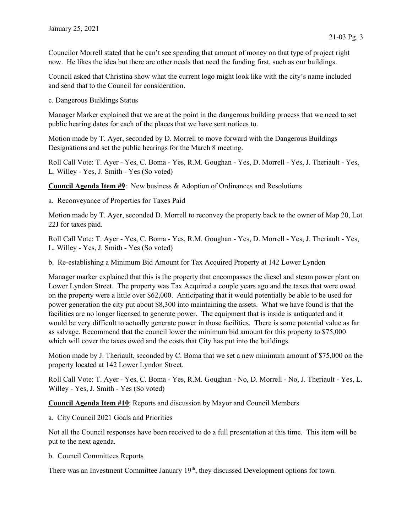Councilor Morrell stated that he can't see spending that amount of money on that type of project right now. He likes the idea but there are other needs that need the funding first, such as our buildings.

Council asked that Christina show what the current logo might look like with the city's name included and send that to the Council for consideration.

c. Dangerous Buildings Status

Manager Marker explained that we are at the point in the dangerous building process that we need to set public hearing dates for each of the places that we have sent notices to.

Motion made by T. Ayer, seconded by D. Morrell to move forward with the Dangerous Buildings Designations and set the public hearings for the March 8 meeting.

Roll Call Vote: T. Ayer - Yes, C. Boma - Yes, R.M. Goughan - Yes, D. Morrell - Yes, J. Theriault - Yes, L. Willey - Yes, J. Smith - Yes (So voted)

Council Agenda Item #9: New business & Adoption of Ordinances and Resolutions

a. Reconveyance of Properties for Taxes Paid

Motion made by T. Ayer, seconded D. Morrell to reconvey the property back to the owner of Map 20, Lot 22J for taxes paid.

Roll Call Vote: T. Ayer - Yes, C. Boma - Yes, R.M. Goughan - Yes, D. Morrell - Yes, J. Theriault - Yes, L. Willey - Yes, J. Smith - Yes (So voted)

b. Re-establishing a Minimum Bid Amount for Tax Acquired Property at 142 Lower Lyndon

Manager marker explained that this is the property that encompasses the diesel and steam power plant on Lower Lyndon Street. The property was Tax Acquired a couple years ago and the taxes that were owed on the property were a little over \$62,000. Anticipating that it would potentially be able to be used for power generation the city put about \$8,300 into maintaining the assets. What we have found is that the facilities are no longer licensed to generate power. The equipment that is inside is antiquated and it would be very difficult to actually generate power in those facilities. There is some potential value as far as salvage. Recommend that the council lower the minimum bid amount for this property to \$75,000 which will cover the taxes owed and the costs that City has put into the buildings.

Motion made by J. Theriault, seconded by C. Boma that we set a new minimum amount of \$75,000 on the property located at 142 Lower Lyndon Street.

Roll Call Vote: T. Ayer - Yes, C. Boma - Yes, R.M. Goughan - No, D. Morrell - No, J. Theriault - Yes, L. Willey - Yes, J. Smith - Yes (So voted)

Council Agenda Item #10: Reports and discussion by Mayor and Council Members

a. City Council 2021 Goals and Priorities

Not all the Council responses have been received to do a full presentation at this time. This item will be put to the next agenda.

b. Council Committees Reports

There was an Investment Committee January 19<sup>th</sup>, they discussed Development options for town.